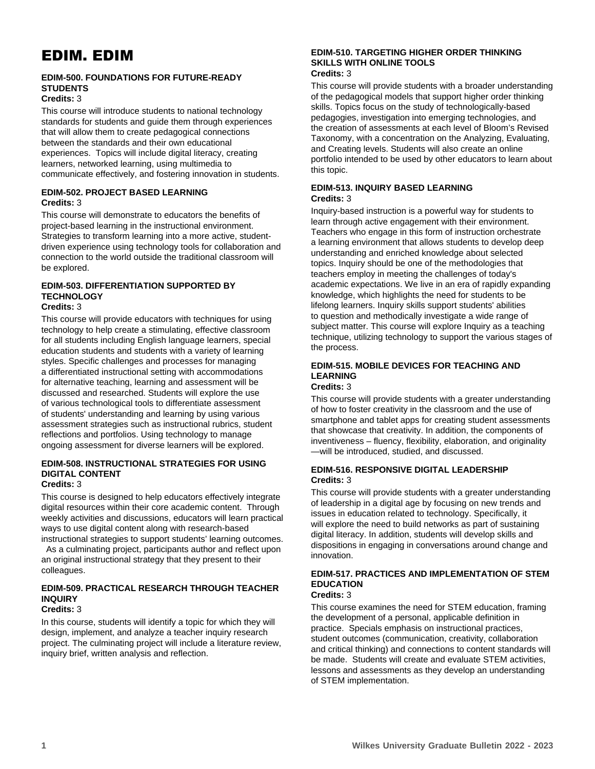# EDIM. EDIM

# **EDIM-500. FOUNDATIONS FOR FUTURE-READY STUDENTS**

## **Credits:** 3

This course will introduce students to national technology standards for students and guide them through experiences that will allow them to create pedagogical connections between the standards and their own educational experiences. Topics will include digital literacy, creating learners, networked learning, using multimedia to communicate effectively, and fostering innovation in students.

# **EDIM-502. PROJECT BASED LEARNING Credits:** 3

This course will demonstrate to educators the benefits of project-based learning in the instructional environment. Strategies to transform learning into a more active, studentdriven experience using technology tools for collaboration and connection to the world outside the traditional classroom will be explored.

#### **EDIM-503. DIFFERENTIATION SUPPORTED BY TECHNOLOGY Credits:** 3

This course will provide educators with techniques for using technology to help create a stimulating, effective classroom for all students including English language learners, special education students and students with a variety of learning styles. Specific challenges and processes for managing a differentiated instructional setting with accommodations for alternative teaching, learning and assessment will be discussed and researched. Students will explore the use of various technological tools to differentiate assessment of students' understanding and learning by using various assessment strategies such as instructional rubrics, student reflections and portfolios. Using technology to manage ongoing assessment for diverse learners will be explored.

#### **EDIM-508. INSTRUCTIONAL STRATEGIES FOR USING DIGITAL CONTENT Credits:** 3

This course is designed to help educators effectively integrate digital resources within their core academic content. Through weekly activities and discussions, educators will learn practical ways to use digital content along with research-based instructional strategies to support students' learning outcomes.

 As a culminating project, participants author and reflect upon an original instructional strategy that they present to their colleagues.

# **EDIM-509. PRACTICAL RESEARCH THROUGH TEACHER INQUIRY**

## **Credits:** 3

In this course, students will identify a topic for which they will design, implement, and analyze a teacher inquiry research project. The culminating project will include a literature review, inquiry brief, written analysis and reflection.

#### **EDIM-510. TARGETING HIGHER ORDER THINKING SKILLS WITH ONLINE TOOLS Credits:** 3

This course will provide students with a broader understanding of the pedagogical models that support higher order thinking skills. Topics focus on the study of technologically-based pedagogies, investigation into emerging technologies, and the creation of assessments at each level of Bloom's Revised Taxonomy, with a concentration on the Analyzing, Evaluating, and Creating levels. Students will also create an online portfolio intended to be used by other educators to learn about this topic.

## **EDIM-513. INQUIRY BASED LEARNING Credits:** 3

Inquiry-based instruction is a powerful way for students to learn through active engagement with their environment. Teachers who engage in this form of instruction orchestrate a learning environment that allows students to develop deep understanding and enriched knowledge about selected topics. Inquiry should be one of the methodologies that teachers employ in meeting the challenges of today's academic expectations. We live in an era of rapidly expanding knowledge, which highlights the need for students to be lifelong learners. Inquiry skills support students' abilities to question and methodically investigate a wide range of subject matter. This course will explore Inquiry as a teaching technique, utilizing technology to support the various stages of the process.

#### **EDIM-515. MOBILE DEVICES FOR TEACHING AND LEARNING Credits:** 3

This course will provide students with a greater understanding of how to foster creativity in the classroom and the use of smartphone and tablet apps for creating student assessments that showcase that creativity. In addition, the components of inventiveness – fluency, flexibility, elaboration, and originality —will be introduced, studied, and discussed.

## **EDIM-516. RESPONSIVE DIGITAL LEADERSHIP Credits:** 3

This course will provide students with a greater understanding of leadership in a digital age by focusing on new trends and issues in education related to technology. Specifically, it will explore the need to build networks as part of sustaining digital literacy. In addition, students will develop skills and dispositions in engaging in conversations around change and innovation.

#### **EDIM-517. PRACTICES AND IMPLEMENTATION OF STEM EDUCATION Credits:** 3

This course examines the need for STEM education, framing the development of a personal, applicable definition in practice. Specials emphasis on instructional practices, student outcomes (communication, creativity, collaboration and critical thinking) and connections to content standards will be made. Students will create and evaluate STEM activities, lessons and assessments as they develop an understanding of STEM implementation.